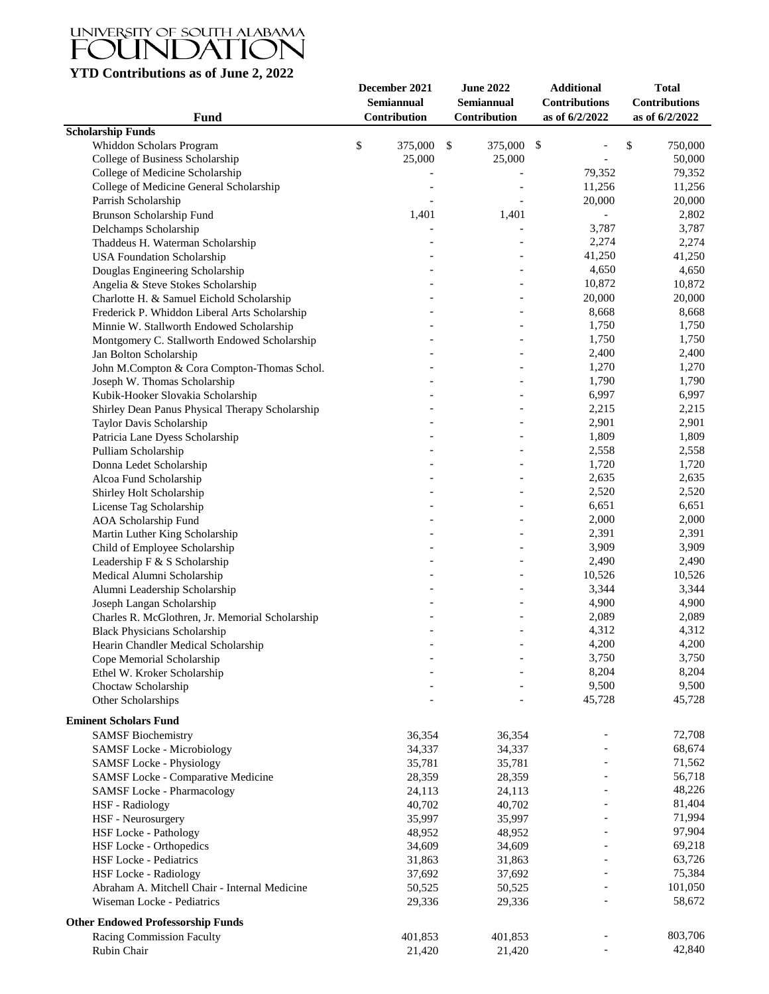## UNIVERSITY OF SOUTH ALABAMA<br>FOUNDATION

## **YTD Contributions as of June 2, 2022**

| Fund                                                                   | December 2021<br>Semiannual<br>Contribution | <b>June 2022</b><br>Semiannual<br>Contribution | <b>Additional</b><br><b>Contributions</b><br>as of 6/2/2022 | <b>Total</b><br><b>Contributions</b><br>as of 6/2/2022 |
|------------------------------------------------------------------------|---------------------------------------------|------------------------------------------------|-------------------------------------------------------------|--------------------------------------------------------|
| <b>Scholarship Funds</b>                                               |                                             |                                                |                                                             |                                                        |
| Whiddon Scholars Program                                               | \$<br>375,000                               | 375,000 \$<br>$\mathbb{S}$                     | $\overline{a}$                                              | \$<br>750,000                                          |
| College of Business Scholarship                                        | 25,000                                      | 25,000                                         | $\blacksquare$                                              | 50,000                                                 |
| College of Medicine Scholarship                                        |                                             |                                                | 79,352                                                      | 79,352                                                 |
| College of Medicine General Scholarship                                |                                             |                                                | 11,256                                                      | 11,256                                                 |
| Parrish Scholarship                                                    |                                             |                                                | 20,000                                                      | 20,000                                                 |
| Brunson Scholarship Fund                                               | 1,401                                       | 1,401                                          |                                                             | 2,802                                                  |
| Delchamps Scholarship                                                  |                                             |                                                | 3,787                                                       | 3,787                                                  |
| Thaddeus H. Waterman Scholarship                                       |                                             |                                                | 2,274                                                       | 2,274                                                  |
| <b>USA Foundation Scholarship</b>                                      |                                             | $\overline{\phantom{a}}$                       | 41,250                                                      | 41,250                                                 |
| Douglas Engineering Scholarship                                        |                                             | $\overline{\phantom{a}}$                       | 4,650                                                       | 4,650                                                  |
| Angelia & Steve Stokes Scholarship                                     |                                             |                                                | 10,872                                                      | 10,872                                                 |
| Charlotte H. & Samuel Eichold Scholarship                              |                                             |                                                | 20,000                                                      | 20,000                                                 |
| Frederick P. Whiddon Liberal Arts Scholarship                          |                                             |                                                | 8,668                                                       | 8,668                                                  |
| Minnie W. Stallworth Endowed Scholarship                               |                                             |                                                | 1,750                                                       | 1,750                                                  |
| Montgomery C. Stallworth Endowed Scholarship                           |                                             | $\overline{\phantom{a}}$                       | 1,750                                                       | 1,750                                                  |
| Jan Bolton Scholarship                                                 |                                             |                                                | 2,400                                                       | 2,400                                                  |
| John M.Compton & Cora Compton-Thomas Schol.                            |                                             |                                                | 1,270                                                       | 1,270                                                  |
| Joseph W. Thomas Scholarship                                           |                                             |                                                | 1,790                                                       | 1,790                                                  |
| Kubik-Hooker Slovakia Scholarship                                      |                                             |                                                | 6,997                                                       | 6,997                                                  |
| Shirley Dean Panus Physical Therapy Scholarship                        |                                             |                                                | 2,215                                                       | 2,215                                                  |
| Taylor Davis Scholarship                                               |                                             |                                                | 2,901                                                       | 2,901                                                  |
| Patricia Lane Dyess Scholarship                                        |                                             | $\overline{\phantom{a}}$                       | 1,809                                                       | 1,809                                                  |
| Pulliam Scholarship                                                    |                                             |                                                | 2,558                                                       | 2,558                                                  |
| Donna Ledet Scholarship                                                |                                             |                                                | 1,720                                                       | 1,720                                                  |
| Alcoa Fund Scholarship                                                 |                                             |                                                | 2,635                                                       | 2,635                                                  |
| Shirley Holt Scholarship                                               |                                             |                                                | 2,520                                                       | 2,520                                                  |
| License Tag Scholarship                                                |                                             |                                                | 6,651                                                       | 6,651                                                  |
| <b>AOA Scholarship Fund</b>                                            |                                             | $\overline{\phantom{a}}$                       | 2,000                                                       | 2,000                                                  |
| Martin Luther King Scholarship                                         |                                             | $\overline{\phantom{a}}$                       | 2,391                                                       | 2,391                                                  |
| Child of Employee Scholarship                                          |                                             | $\equiv$                                       | 3,909                                                       | 3,909                                                  |
| Leadership F & S Scholarship                                           |                                             | $\overline{a}$                                 | 2,490                                                       | 2,490                                                  |
| Medical Alumni Scholarship                                             |                                             | $\overline{a}$                                 | 10,526                                                      | 10,526                                                 |
| Alumni Leadership Scholarship                                          |                                             | $\overline{a}$                                 | 3,344                                                       | 3,344                                                  |
| Joseph Langan Scholarship                                              |                                             | $\overline{\phantom{a}}$                       | 4,900                                                       | 4,900                                                  |
| Charles R. McGlothren, Jr. Memorial Scholarship                        |                                             |                                                | 2,089                                                       | 2,089                                                  |
| <b>Black Physicians Scholarship</b>                                    |                                             |                                                | 4,312                                                       | 4,312                                                  |
| Hearin Chandler Medical Scholarship                                    |                                             |                                                | 4,200                                                       | 4,200                                                  |
| Cope Memorial Scholarship                                              |                                             |                                                | 3,750                                                       | 3,750                                                  |
| Ethel W. Kroker Scholarship                                            |                                             |                                                | 8,204                                                       | 8,204                                                  |
| Choctaw Scholarship                                                    |                                             |                                                | 9,500                                                       | 9,500                                                  |
| Other Scholarships                                                     |                                             |                                                | 45,728                                                      | 45,728                                                 |
| <b>Eminent Scholars Fund</b>                                           |                                             |                                                |                                                             |                                                        |
| <b>SAMSF Biochemistry</b>                                              | 36,354                                      | 36,354                                         |                                                             | 72,708                                                 |
| <b>SAMSF Locke - Microbiology</b>                                      | 34,337                                      | 34,337                                         |                                                             | 68,674                                                 |
| <b>SAMSF Locke - Physiology</b>                                        | 35,781                                      | 35,781                                         |                                                             | 71,562                                                 |
| SAMSF Locke - Comparative Medicine                                     | 28,359                                      | 28,359                                         |                                                             | 56,718                                                 |
| <b>SAMSF Locke - Pharmacology</b>                                      | 24,113                                      | 24,113                                         |                                                             | 48,226                                                 |
| <b>HSF</b> - Radiology                                                 | 40,702                                      | 40,702                                         |                                                             | 81,404                                                 |
| HSF - Neurosurgery                                                     | 35,997                                      | 35,997                                         |                                                             | 71,994                                                 |
| <b>HSF Locke - Pathology</b>                                           | 48,952                                      | 48,952                                         |                                                             | 97,904                                                 |
| HSF Locke - Orthopedics                                                | 34,609                                      | 34,609                                         |                                                             | 69,218                                                 |
| HSF Locke - Pediatrics                                                 | 31,863                                      | 31,863                                         |                                                             | 63,726                                                 |
|                                                                        |                                             |                                                |                                                             | 75,384                                                 |
| HSF Locke - Radiology<br>Abraham A. Mitchell Chair - Internal Medicine | 37,692<br>50,525                            | 37,692<br>50,525                               |                                                             | 101,050                                                |
| Wiseman Locke - Pediatrics                                             | 29,336                                      | 29,336                                         |                                                             | 58,672                                                 |
|                                                                        |                                             |                                                |                                                             |                                                        |
| <b>Other Endowed Professorship Funds</b>                               |                                             |                                                |                                                             |                                                        |
| Racing Commission Faculty                                              | 401,853                                     | 401,853                                        |                                                             | 803,706                                                |
| Rubin Chair                                                            | 21,420                                      | 21,420                                         |                                                             | 42,840                                                 |